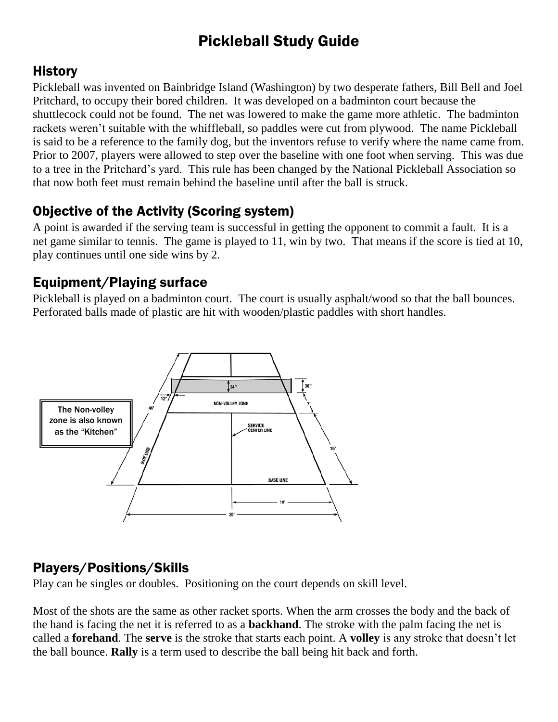# Pickleball Study Guide

#### **History**

Pickleball was invented on Bainbridge Island (Washington) by two desperate fathers, Bill Bell and Joel Pritchard, to occupy their bored children. It was developed on a badminton court because the shuttlecock could not be found. The net was lowered to make the game more athletic. The badminton rackets weren't suitable with the whiffleball, so paddles were cut from plywood. The name Pickleball is said to be a reference to the family dog, but the inventors refuse to verify where the name came from. Prior to 2007, players were allowed to step over the baseline with one foot when serving. This was due to a tree in the Pritchard's yard. This rule has been changed by the National Pickleball Association so that now both feet must remain behind the baseline until after the ball is struck.

## Objective of the Activity (Scoring system)

A point is awarded if the serving team is successful in getting the opponent to commit a fault. It is a net game similar to tennis. The game is played to 11, win by two. That means if the score is tied at 10, play continues until one side wins by 2.

## Equipment/Playing surface

Pickleball is played on a badminton court. The court is usually asphalt/wood so that the ball bounces. Perforated balls made of plastic are hit with wooden/plastic paddles with short handles.



## Players/Positions/Skills

Play can be singles or doubles. Positioning on the court depends on skill level.

Most of the shots are the same as other racket sports. When the arm crosses the body and the back of the hand is facing the net it is referred to as a **backhand**. The stroke with the palm facing the net is called a **forehand**. The **serve** is the stroke that starts each point. A **volley** is any stroke that doesn't let the ball bounce. **Rally** is a term used to describe the ball being hit back and forth.